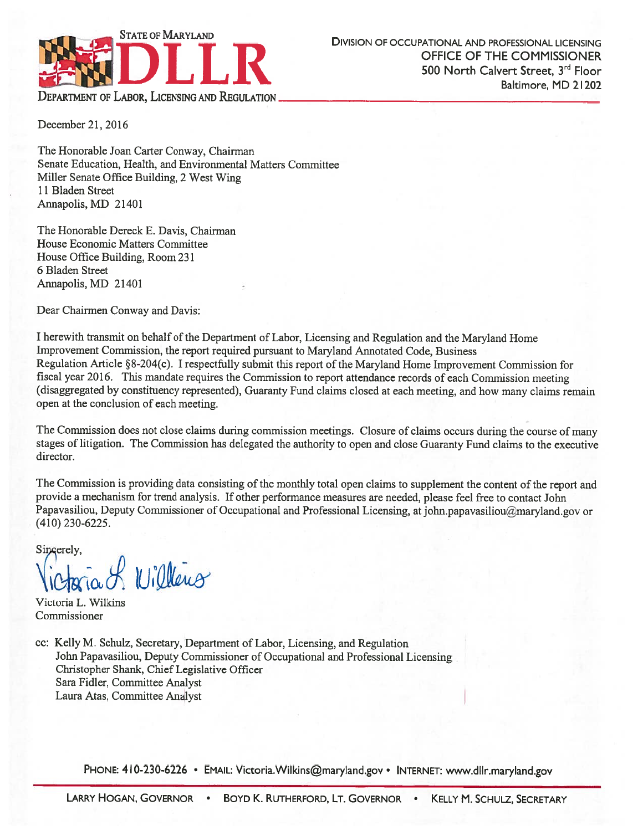

December 21, 2016

The Honorable Joan Carter Conway, Chairman Senate Education, Health, and Environmental Matters Committee Miller Senate Office Building, 2 West Wing 11 Bladen Street Annapolis, MD 21401

The Honorable Dereck E. Davis, Chairman House Economic Matters Committee House Office Building, Room 231 6 Bladen Street Annapolis, MD 21401

Dear Chairmen Conway and Davis:

I herewith transmit on behalf of the Department of Labor, Licensing and Regulation and the Maryland Home Improvement Commission, the report required pursuant to Maryland Annotated Code, Business Regulation Article §8-204(c). I respectfully submit this report of the Maryland Home Improvement Commission for fiscal year 2016. This mandate requires the Commission to report attendance records of each Commission meeting (disaggregated by constituency represented), Guaranty Fund claims closed at each meeting, and how many claims remain open at the conclusion of each meeting.

The Commission does not close claims during commission meetings. Closure of claims occurs during the course of many stages of litigation. The Commission has delegated the authority to open and close Guaranty Fund claims to the executive director.

The Commission is providing data consisting of the monthly total open claims to supplement the content of the report and provide a mechanism for trend analysis. If other performance measures are needed, please feel free to contact John Papavasiliou, Deputy Commissioner of Occupational and Professional Licensing, at john.papavasiliou@maryland.gov or  $(410)$  230-6225.

Sincerely,

. A Willens

Victoria L. Wilkins Commissioner

cc: Kelly M. Schulz, Secretary, Department of Labor, Licensing, and Regulation John Papavasiliou, Deputy Commissioner of Occupational and Professional Licensing Christopher Shank, Chief Legislative Officer Sara Fidler, Committee Analyst Laura Atas, Committee Analyst

PHONE: 410-230-6226 • EMAIL: Victoria. Wilkins@maryland.gov • INTERNET: www.dllr.maryland.gov